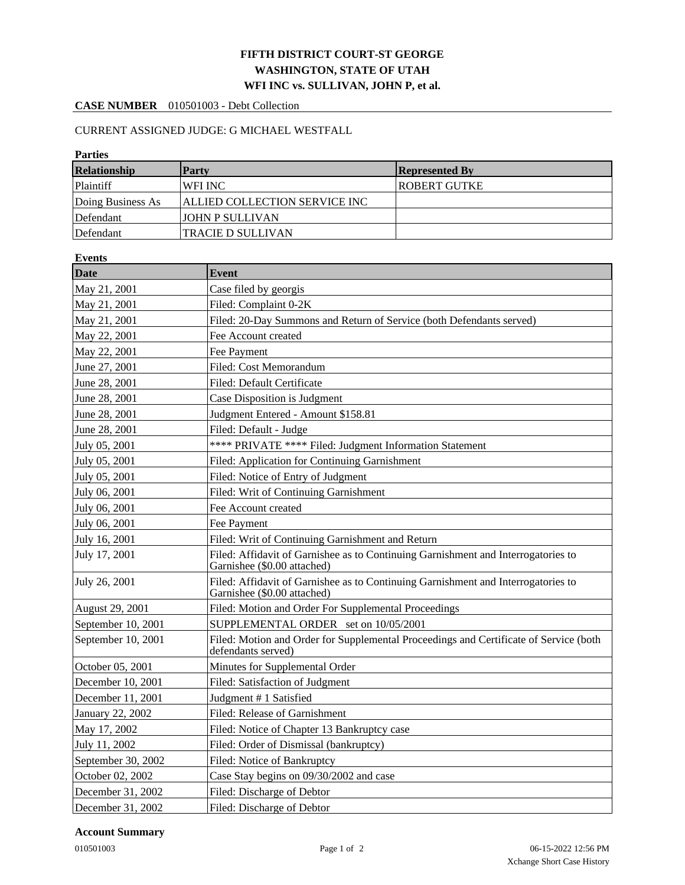## **FIFTH DISTRICT COURT-ST GEORGE WASHINGTON, STATE OF UTAH WFI INC vs. SULLIVAN, JOHN P, et al.**

### **CASE NUMBER** 010501003 - Debt Collection

### CURRENT ASSIGNED JUDGE: G MICHAEL WESTFALL

# **Parties Relationship Party Represented By** Plaintiff WFI INC ROBERT GUTKE Doing Business As **ALLIED COLLECTION SERVICE INC** Defendant JOHN P SULLIVAN Defendant **TRACIE D SULLIVAN**

| <b>Events</b>      |                                                                                                                  |  |  |  |  |
|--------------------|------------------------------------------------------------------------------------------------------------------|--|--|--|--|
| <b>Date</b>        | <b>Event</b>                                                                                                     |  |  |  |  |
| May 21, 2001       | Case filed by georgis                                                                                            |  |  |  |  |
| May 21, 2001       | Filed: Complaint 0-2K                                                                                            |  |  |  |  |
| May 21, 2001       | Filed: 20-Day Summons and Return of Service (both Defendants served)                                             |  |  |  |  |
| May 22, 2001       | Fee Account created                                                                                              |  |  |  |  |
| May 22, 2001       | Fee Payment                                                                                                      |  |  |  |  |
| June 27, 2001      | Filed: Cost Memorandum                                                                                           |  |  |  |  |
| June 28, 2001      | Filed: Default Certificate                                                                                       |  |  |  |  |
| June 28, 2001      | Case Disposition is Judgment                                                                                     |  |  |  |  |
| June 28, 2001      | Judgment Entered - Amount \$158.81                                                                               |  |  |  |  |
| June 28, 2001      | Filed: Default - Judge                                                                                           |  |  |  |  |
| July 05, 2001      | **** PRIVATE **** Filed: Judgment Information Statement                                                          |  |  |  |  |
| July 05, 2001      | Filed: Application for Continuing Garnishment                                                                    |  |  |  |  |
| July 05, 2001      | Filed: Notice of Entry of Judgment                                                                               |  |  |  |  |
| July 06, 2001      | Filed: Writ of Continuing Garnishment                                                                            |  |  |  |  |
| July 06, 2001      | Fee Account created                                                                                              |  |  |  |  |
| July 06, 2001      | <b>Fee Payment</b>                                                                                               |  |  |  |  |
| July 16, 2001      | Filed: Writ of Continuing Garnishment and Return                                                                 |  |  |  |  |
| July 17, 2001      | Filed: Affidavit of Garnishee as to Continuing Garnishment and Interrogatories to<br>Garnishee (\$0.00 attached) |  |  |  |  |
| July 26, 2001      | Filed: Affidavit of Garnishee as to Continuing Garnishment and Interrogatories to<br>Garnishee (\$0.00 attached) |  |  |  |  |
| August 29, 2001    | Filed: Motion and Order For Supplemental Proceedings                                                             |  |  |  |  |
| September 10, 2001 | SUPPLEMENTAL ORDER set on 10/05/2001                                                                             |  |  |  |  |
| September 10, 2001 | Filed: Motion and Order for Supplemental Proceedings and Certificate of Service (both<br>defendants served)      |  |  |  |  |
| October 05, 2001   | Minutes for Supplemental Order                                                                                   |  |  |  |  |
| December 10, 2001  | Filed: Satisfaction of Judgment                                                                                  |  |  |  |  |
| December 11, 2001  | Judgment #1 Satisfied                                                                                            |  |  |  |  |
| January 22, 2002   | Filed: Release of Garnishment                                                                                    |  |  |  |  |
| May 17, 2002       | Filed: Notice of Chapter 13 Bankruptcy case                                                                      |  |  |  |  |
| July 11, 2002      | Filed: Order of Dismissal (bankruptcy)                                                                           |  |  |  |  |
| September 30, 2002 | Filed: Notice of Bankruptcy                                                                                      |  |  |  |  |
| October 02, 2002   | Case Stay begins on 09/30/2002 and case                                                                          |  |  |  |  |
| December 31, 2002  | Filed: Discharge of Debtor                                                                                       |  |  |  |  |
| December 31, 2002  | Filed: Discharge of Debtor                                                                                       |  |  |  |  |

#### **Account Summary**